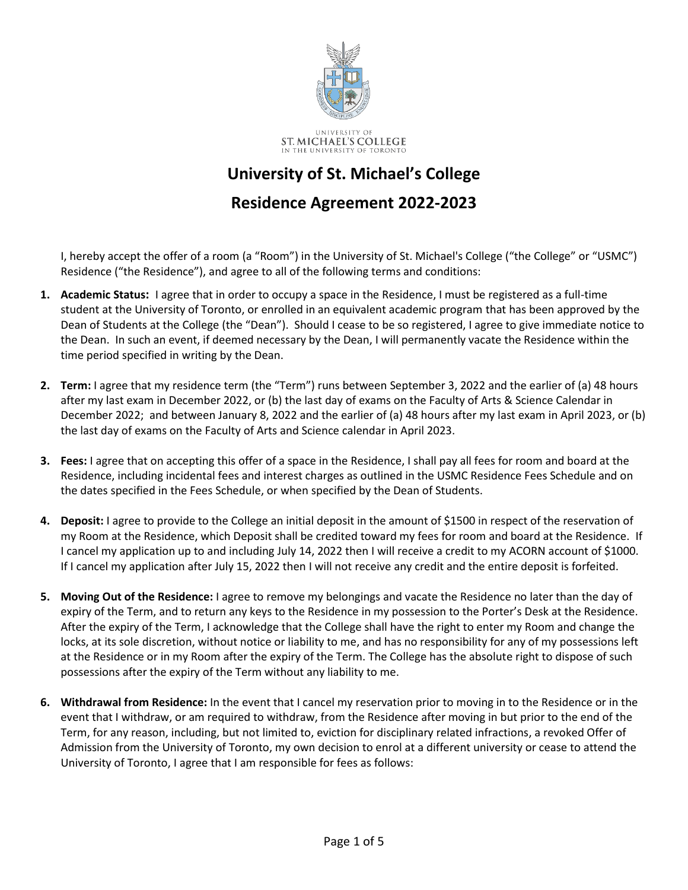

## **University of St. Michael's College**

## **Residence Agreement 2022-2023**

I, hereby accept the offer of a room (a "Room") in the University of St. Michael's College ("the College" or "USMC") Residence ("the Residence"), and agree to all of the following terms and conditions:

- **1. Academic Status:** I agree that in order to occupy a space in the Residence, I must be registered as a full-time student at the University of Toronto, or enrolled in an equivalent academic program that has been approved by the Dean of Students at the College (the "Dean"). Should I cease to be so registered, I agree to give immediate notice to the Dean. In such an event, if deemed necessary by the Dean, I will permanently vacate the Residence within the time period specified in writing by the Dean.
- **2. Term:** I agree that my residence term (the "Term") runs between September 3, 2022 and the earlier of (a) 48 hours after my last exam in December 2022, or (b) the last day of exams on the Faculty of Arts & Science Calendar in December 2022; and between January 8, 2022 and the earlier of (a) 48 hours after my last exam in April 2023, or (b) the last day of exams on the Faculty of Arts and Science calendar in April 2023.
- **3. Fees:** I agree that on accepting this offer of a space in the Residence, I shall pay all fees for room and board at the Residence, including incidental fees and interest charges as outlined in the USMC Residence Fees Schedule and on the dates specified in the Fees Schedule, or when specified by the Dean of Students.
- **4. Deposit:** I agree to provide to the College an initial deposit in the amount of \$1500 in respect of the reservation of my Room at the Residence, which Deposit shall be credited toward my fees for room and board at the Residence. If I cancel my application up to and including July 14, 2022 then I will receive a credit to my ACORN account of \$1000. If I cancel my application after July 15, 2022 then I will not receive any credit and the entire deposit is forfeited.
- **5. Moving Out of the Residence:** I agree to remove my belongings and vacate the Residence no later than the day of expiry of the Term, and to return any keys to the Residence in my possession to the Porter's Desk at the Residence. After the expiry of the Term, I acknowledge that the College shall have the right to enter my Room and change the locks, at its sole discretion, without notice or liability to me, and has no responsibility for any of my possessions left at the Residence or in my Room after the expiry of the Term. The College has the absolute right to dispose of such possessions after the expiry of the Term without any liability to me.
- **6. Withdrawal from Residence:** In the event that I cancel my reservation prior to moving in to the Residence or in the event that I withdraw, or am required to withdraw, from the Residence after moving in but prior to the end of the Term, for any reason, including, but not limited to, eviction for disciplinary related infractions, a revoked Offer of Admission from the University of Toronto, my own decision to enrol at a different university or cease to attend the University of Toronto, I agree that I am responsible for fees as follows: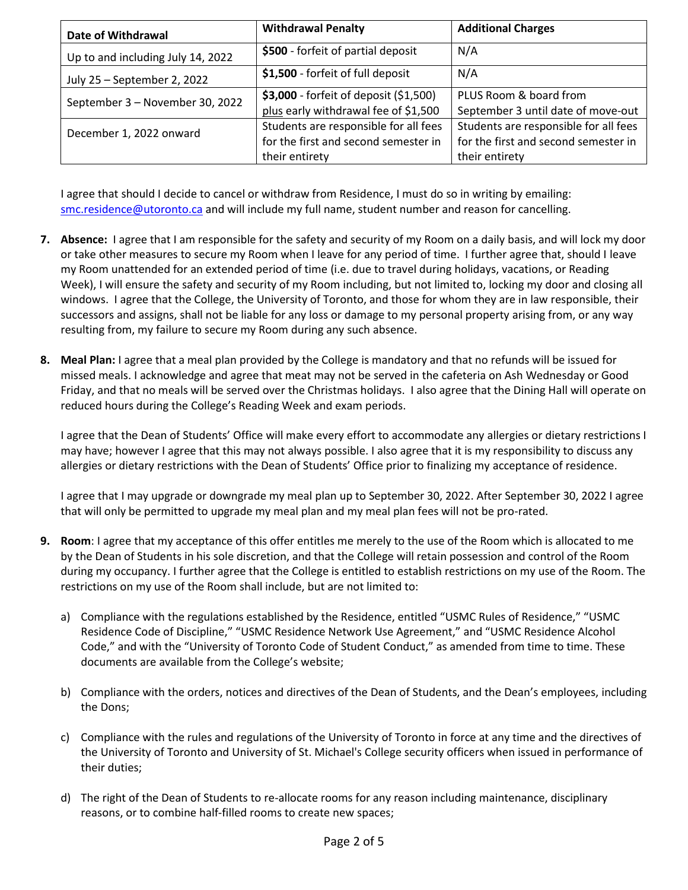| Date of Withdrawal                | <b>Withdrawal Penalty</b>              | <b>Additional Charges</b>             |
|-----------------------------------|----------------------------------------|---------------------------------------|
| Up to and including July 14, 2022 | \$500 - forfeit of partial deposit     | N/A                                   |
| July 25 - September 2, 2022       | \$1,500 - forfeit of full deposit      | N/A                                   |
| September 3 - November 30, 2022   | \$3,000 - forfeit of deposit (\$1,500) | PLUS Room & board from                |
|                                   | plus early withdrawal fee of \$1,500   | September 3 until date of move-out    |
| December 1, 2022 onward           | Students are responsible for all fees  | Students are responsible for all fees |
|                                   | for the first and second semester in   | for the first and second semester in  |
|                                   | their entirety                         | their entirety                        |

I agree that should I decide to cancel or withdraw from Residence, I must do so in writing by emailing: [smc.residence@utoronto.ca](mailto:smc.residence@utoronto.ca) and will include my full name, student number and reason for cancelling.

- **7. Absence:** I agree that I am responsible for the safety and security of my Room on a daily basis, and will lock my door or take other measures to secure my Room when I leave for any period of time. I further agree that, should I leave my Room unattended for an extended period of time (i.e. due to travel during holidays, vacations, or Reading Week), I will ensure the safety and security of my Room including, but not limited to, locking my door and closing all windows. I agree that the College, the University of Toronto, and those for whom they are in law responsible, their successors and assigns, shall not be liable for any loss or damage to my personal property arising from, or any way resulting from, my failure to secure my Room during any such absence.
- **8. Meal Plan:** I agree that a meal plan provided by the College is mandatory and that no refunds will be issued for missed meals. I acknowledge and agree that meat may not be served in the cafeteria on Ash Wednesday or Good Friday, and that no meals will be served over the Christmas holidays. I also agree that the Dining Hall will operate on reduced hours during the College's Reading Week and exam periods.

I agree that the Dean of Students' Office will make every effort to accommodate any allergies or dietary restrictions I may have; however I agree that this may not always possible. I also agree that it is my responsibility to discuss any allergies or dietary restrictions with the Dean of Students' Office prior to finalizing my acceptance of residence.

I agree that I may upgrade or downgrade my meal plan up to September 30, 2022. After September 30, 2022 I agree that will only be permitted to upgrade my meal plan and my meal plan fees will not be pro-rated.

- **9. Room**: I agree that my acceptance of this offer entitles me merely to the use of the Room which is allocated to me by the Dean of Students in his sole discretion, and that the College will retain possession and control of the Room during my occupancy. I further agree that the College is entitled to establish restrictions on my use of the Room. The restrictions on my use of the Room shall include, but are not limited to:
	- a) Compliance with the regulations established by the Residence, entitled "USMC Rules of Residence," "USMC Residence Code of Discipline," "USMC Residence Network Use Agreement," and "USMC Residence Alcohol Code," and with the "University of Toronto Code of Student Conduct," as amended from time to time. These documents are available from the College's website;
	- b) Compliance with the orders, notices and directives of the Dean of Students, and the Dean's employees, including the Dons;
	- c) Compliance with the rules and regulations of the University of Toronto in force at any time and the directives of the University of Toronto and University of St. Michael's College security officers when issued in performance of their duties;
	- d) The right of the Dean of Students to re-allocate rooms for any reason including maintenance, disciplinary reasons, or to combine half-filled rooms to create new spaces;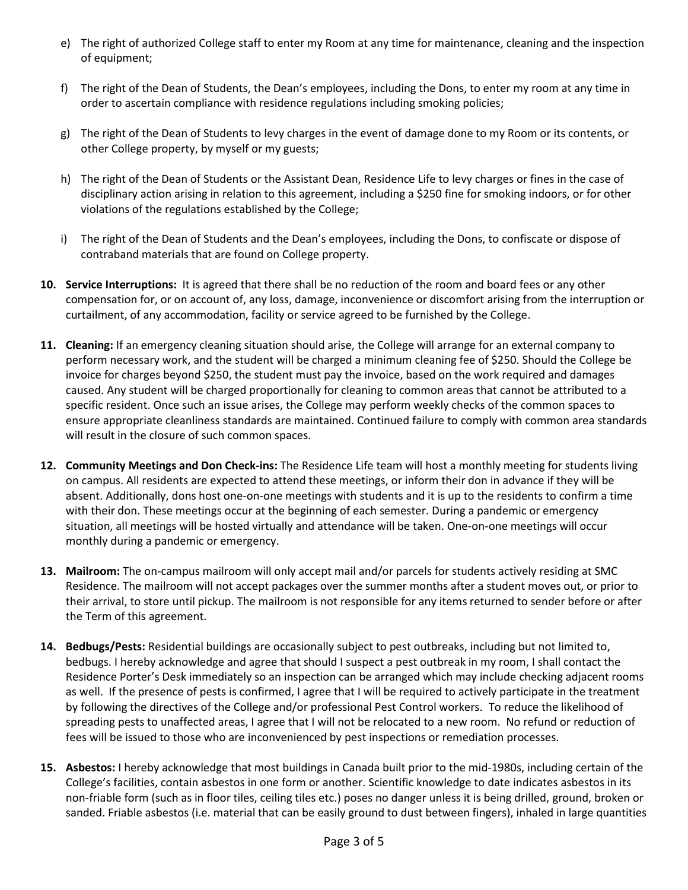- e) The right of authorized College staff to enter my Room at any time for maintenance, cleaning and the inspection of equipment;
- f) The right of the Dean of Students, the Dean's employees, including the Dons, to enter my room at any time in order to ascertain compliance with residence regulations including smoking policies;
- g) The right of the Dean of Students to levy charges in the event of damage done to my Room or its contents, or other College property, by myself or my guests;
- h) The right of the Dean of Students or the Assistant Dean, Residence Life to levy charges or fines in the case of disciplinary action arising in relation to this agreement, including a \$250 fine for smoking indoors, or for other violations of the regulations established by the College;
- i) The right of the Dean of Students and the Dean's employees, including the Dons, to confiscate or dispose of contraband materials that are found on College property.
- **10. Service Interruptions:** It is agreed that there shall be no reduction of the room and board fees or any other compensation for, or on account of, any loss, damage, inconvenience or discomfort arising from the interruption or curtailment, of any accommodation, facility or service agreed to be furnished by the College.
- **11. Cleaning:** If an emergency cleaning situation should arise, the College will arrange for an external company to perform necessary work, and the student will be charged a minimum cleaning fee of \$250. Should the College be invoice for charges beyond \$250, the student must pay the invoice, based on the work required and damages caused. Any student will be charged proportionally for cleaning to common areas that cannot be attributed to a specific resident. Once such an issue arises, the College may perform weekly checks of the common spaces to ensure appropriate cleanliness standards are maintained. Continued failure to comply with common area standards will result in the closure of such common spaces.
- **12. Community Meetings and Don Check-ins:** The Residence Life team will host a monthly meeting for students living on campus. All residents are expected to attend these meetings, or inform their don in advance if they will be absent. Additionally, dons host one-on-one meetings with students and it is up to the residents to confirm a time with their don. These meetings occur at the beginning of each semester. During a pandemic or emergency situation, all meetings will be hosted virtually and attendance will be taken. One-on-one meetings will occur monthly during a pandemic or emergency.
- **13. Mailroom:** The on-campus mailroom will only accept mail and/or parcels for students actively residing at SMC Residence. The mailroom will not accept packages over the summer months after a student moves out, or prior to their arrival, to store until pickup. The mailroom is not responsible for any items returned to sender before or after the Term of this agreement.
- **14. Bedbugs/Pests:** Residential buildings are occasionally subject to pest outbreaks, including but not limited to, bedbugs. I hereby acknowledge and agree that should I suspect a pest outbreak in my room, I shall contact the Residence Porter's Desk immediately so an inspection can be arranged which may include checking adjacent rooms as well. If the presence of pests is confirmed, I agree that I will be required to actively participate in the treatment by following the directives of the College and/or professional Pest Control workers. To reduce the likelihood of spreading pests to unaffected areas, I agree that I will not be relocated to a new room. No refund or reduction of fees will be issued to those who are inconvenienced by pest inspections or remediation processes.
- **15. Asbestos:** I hereby acknowledge that most buildings in Canada built prior to the mid-1980s, including certain of the College's facilities, contain asbestos in one form or another. Scientific knowledge to date indicates asbestos in its non-friable form (such as in floor tiles, ceiling tiles etc.) poses no danger unless it is being drilled, ground, broken or sanded. Friable asbestos (i.e. material that can be easily ground to dust between fingers), inhaled in large quantities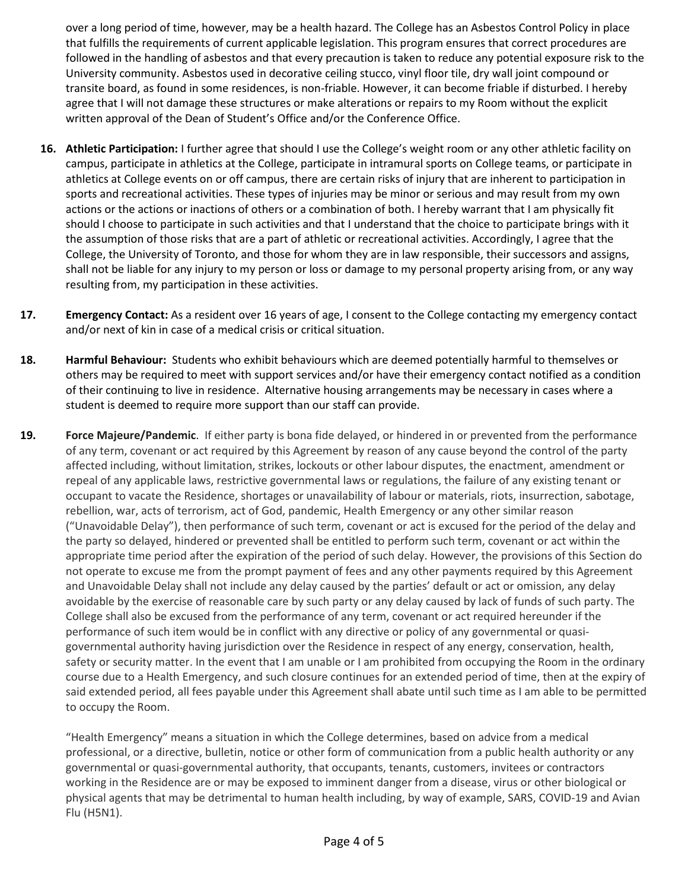over a long period of time, however, may be a health hazard. The College has an Asbestos Control Policy in place that fulfills the requirements of current applicable legislation. This program ensures that correct procedures are followed in the handling of asbestos and that every precaution is taken to reduce any potential exposure risk to the University community. Asbestos used in decorative ceiling stucco, vinyl floor tile, dry wall joint compound or transite board, as found in some residences, is non-friable. However, it can become friable if disturbed. I hereby agree that I will not damage these structures or make alterations or repairs to my Room without the explicit written approval of the Dean of Student's Office and/or the Conference Office.

- **16. Athletic Participation:** I further agree that should I use the College's weight room or any other athletic facility on campus, participate in athletics at the College, participate in intramural sports on College teams, or participate in athletics at College events on or off campus, there are certain risks of injury that are inherent to participation in sports and recreational activities. These types of injuries may be minor or serious and may result from my own actions or the actions or inactions of others or a combination of both. I hereby warrant that I am physically fit should I choose to participate in such activities and that I understand that the choice to participate brings with it the assumption of those risks that are a part of athletic or recreational activities. Accordingly, I agree that the College, the University of Toronto, and those for whom they are in law responsible, their successors and assigns, shall not be liable for any injury to my person or loss or damage to my personal property arising from, or any way resulting from, my participation in these activities.
- **17. Emergency Contact:** As a resident over 16 years of age, I consent to the College contacting my emergency contact and/or next of kin in case of a medical crisis or critical situation.
- **18. Harmful Behaviour:** Students who exhibit behaviours which are deemed potentially harmful to themselves or others may be required to meet with support services and/or have their emergency contact notified as a condition of their continuing to live in residence. Alternative housing arrangements may be necessary in cases where a student is deemed to require more support than our staff can provide.
- **19. Force Majeure/Pandemic**. If either party is bona fide delayed, or hindered in or prevented from the performance of any term, covenant or act required by this Agreement by reason of any cause beyond the control of the party affected including, without limitation, strikes, lockouts or other labour disputes, the enactment, amendment or repeal of any applicable laws, restrictive governmental laws or regulations, the failure of any existing tenant or occupant to vacate the Residence, shortages or unavailability of labour or materials, riots, insurrection, sabotage, rebellion, war, acts of terrorism, act of God, pandemic, Health Emergency or any other similar reason ("Unavoidable Delay"), then performance of such term, covenant or act is excused for the period of the delay and the party so delayed, hindered or prevented shall be entitled to perform such term, covenant or act within the appropriate time period after the expiration of the period of such delay. However, the provisions of this Section do not operate to excuse me from the prompt payment of fees and any other payments required by this Agreement and Unavoidable Delay shall not include any delay caused by the parties' default or act or omission, any delay avoidable by the exercise of reasonable care by such party or any delay caused by lack of funds of such party. The College shall also be excused from the performance of any term, covenant or act required hereunder if the performance of such item would be in conflict with any directive or policy of any governmental or quasigovernmental authority having jurisdiction over the Residence in respect of any energy, conservation, health, safety or security matter. In the event that I am unable or I am prohibited from occupying the Room in the ordinary course due to a Health Emergency, and such closure continues for an extended period of time, then at the expiry of said extended period, all fees payable under this Agreement shall abate until such time as I am able to be permitted to occupy the Room.

"Health Emergency" means a situation in which the College determines, based on advice from a medical professional, or a directive, bulletin, notice or other form of communication from a public health authority or any governmental or quasi-governmental authority, that occupants, tenants, customers, invitees or contractors working in the Residence are or may be exposed to imminent danger from a disease, virus or other biological or physical agents that may be detrimental to human health including, by way of example, SARS, COVID-19 and Avian Flu (H5N1).